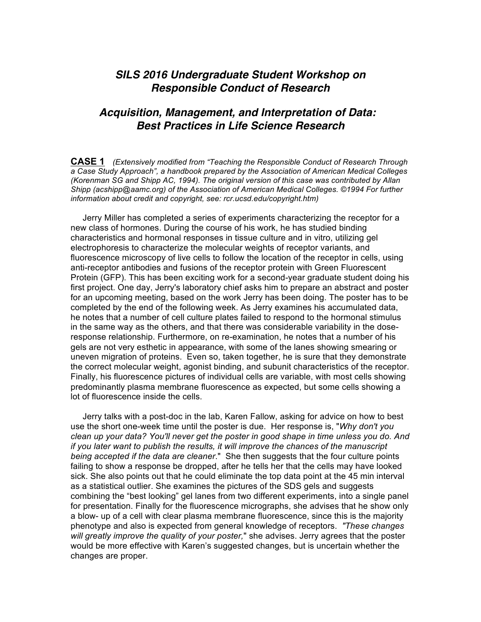## *SILS 2016 Undergraduate Student Workshop on Responsible Conduct of Research*

## *Acquisition, Management, and Interpretation of Data: Best Practices in Life Science Research*

**CASE 1** *(Extensively modified from "Teaching the Responsible Conduct of Research Through a Case Study Approach", a handbook prepared by the Association of American Medical Colleges (Korenman SG and Shipp AC, 1994). The original version of this case was contributed by Allan Shipp (acshipp@aamc.org) of the Association of American Medical Colleges. ©1994 For further information about credit and copyright, see: rcr.ucsd.edu/copyright.htm)*

 Jerry Miller has completed a series of experiments characterizing the receptor for a new class of hormones. During the course of his work, he has studied binding characteristics and hormonal responses in tissue culture and in vitro, utilizing gel electrophoresis to characterize the molecular weights of receptor variants, and fluorescence microscopy of live cells to follow the location of the receptor in cells, using anti-receptor antibodies and fusions of the receptor protein with Green Fluorescent Protein (GFP). This has been exciting work for a second-year graduate student doing his first project. One day, Jerry's laboratory chief asks him to prepare an abstract and poster for an upcoming meeting, based on the work Jerry has been doing. The poster has to be completed by the end of the following week. As Jerry examines his accumulated data, he notes that a number of cell culture plates failed to respond to the hormonal stimulus in the same way as the others, and that there was considerable variability in the doseresponse relationship. Furthermore, on re-examination, he notes that a number of his gels are not very esthetic in appearance, with some of the lanes showing smearing or uneven migration of proteins. Even so, taken together, he is sure that they demonstrate the correct molecular weight, agonist binding, and subunit characteristics of the receptor. Finally, his fluorescence pictures of individual cells are variable, with most cells showing predominantly plasma membrane fluorescence as expected, but some cells showing a lot of fluorescence inside the cells.

 Jerry talks with a post-doc in the lab, Karen Fallow, asking for advice on how to best use the short one-week time until the poster is due. Her response is, "*Why don't you clean up your data? You'll never get the poster in good shape in time unless you do. And if you later want to publish the results, it will improve the chances of the manuscript being accepted if the data are cleaner*." She then suggests that the four culture points failing to show a response be dropped, after he tells her that the cells may have looked sick. She also points out that he could eliminate the top data point at the 45 min interval as a statistical outlier. She examines the pictures of the SDS gels and suggests combining the "best looking" gel lanes from two different experiments, into a single panel for presentation. Finally for the fluorescence micrographs, she advises that he show only a blow- up of a cell with clear plasma membrane fluorescence, since this is the majority phenotype and also is expected from general knowledge of receptors. *"These changes will greatly improve the quality of your poster,*" she advises. Jerry agrees that the poster would be more effective with Karen's suggested changes, but is uncertain whether the changes are proper.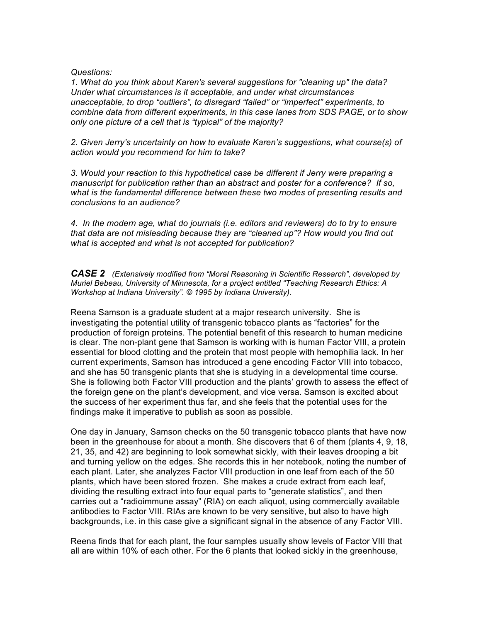## *Questions:*

*1. What do you think about Karen's several suggestions for "cleaning up" the data? Under what circumstances is it acceptable, and under what circumstances unacceptable, to drop "outliers", to disregard "failed" or "imperfect" experiments, to combine data from different experiments, in this case lanes from SDS PAGE, or to show only one picture of a cell that is "typical" of the majority?*

*2. Given Jerry's uncertainty on how to evaluate Karen's suggestions, what course(s) of action would you recommend for him to take?*

*3. Would your reaction to this hypothetical case be different if Jerry were preparing a manuscript for publication rather than an abstract and poster for a conference? If so, what is the fundamental difference between these two modes of presenting results and conclusions to an audience?*

*4. In the modern age, what do journals (i.e. editors and reviewers) do to try to ensure that data are not misleading because they are "cleaned up"? How would you find out what is accepted and what is not accepted for publication?*

*CASE 2 (Extensively modified from "Moral Reasoning in Scientific Research", developed by Muriel Bebeau, University of Minnesota, for a project entitled "Teaching Research Ethics: A Workshop at Indiana University". © 1995 by Indiana University).*

Reena Samson is a graduate student at a major research university. She is investigating the potential utility of transgenic tobacco plants as "factories" for the production of foreign proteins. The potential benefit of this research to human medicine is clear. The non-plant gene that Samson is working with is human Factor VIII, a protein essential for blood clotting and the protein that most people with hemophilia lack. In her current experiments, Samson has introduced a gene encoding Factor VIII into tobacco, and she has 50 transgenic plants that she is studying in a developmental time course. She is following both Factor VIII production and the plants' growth to assess the effect of the foreign gene on the plant's development, and vice versa. Samson is excited about the success of her experiment thus far, and she feels that the potential uses for the findings make it imperative to publish as soon as possible.

One day in January, Samson checks on the 50 transgenic tobacco plants that have now been in the greenhouse for about a month. She discovers that 6 of them (plants 4, 9, 18, 21, 35, and 42) are beginning to look somewhat sickly, with their leaves drooping a bit and turning yellow on the edges. She records this in her notebook, noting the number of each plant. Later, she analyzes Factor VIII production in one leaf from each of the 50 plants, which have been stored frozen. She makes a crude extract from each leaf, dividing the resulting extract into four equal parts to "generate statistics", and then carries out a "radioimmune assay" (RIA) on each aliquot, using commercially available antibodies to Factor VIII. RIAs are known to be very sensitive, but also to have high backgrounds, i.e. in this case give a significant signal in the absence of any Factor VIII.

Reena finds that for each plant, the four samples usually show levels of Factor VIII that all are within 10% of each other. For the 6 plants that looked sickly in the greenhouse,